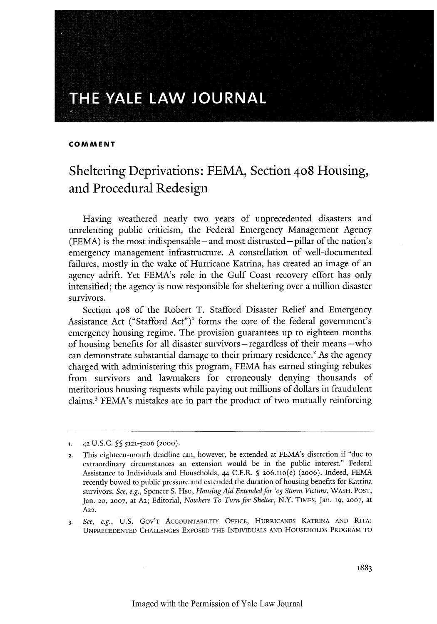# THE YALE LAW JOURNAL

#### **COMMENT**

## Sheltering Deprivations: FEMA, Section **408** Housing, and Procedural Redesign

Having weathered nearly two years of unprecedented disasters and unrelenting public criticism, the Federal Emergency Management Agency (FEMA) is the most indispensable **-** and most distrusted **-** pillar of the nation's emergency management infrastructure. A constellation of well-documented failures, mostly in the wake of Hurricane Katrina, has created an image of an agency adrift. Yet FEMA's role in the Gulf Coast recovery effort has only intensified; the agency is now responsible for sheltering over a million disaster survivors.

Section **408** of the Robert T. Stafford Disaster Relief and Emergency Assistance Act ("Stafford Act")' forms the core of the federal government's emergency housing regime. The provision guarantees up to eighteen months of housing benefits for all disaster survivors -regardless of their means-who can demonstrate substantial damage to their primary residence.<sup>2</sup> As the agency charged with administering this program, FEMA has earned stinging rebukes from survivors and lawmakers for erroneously denying thousands of meritorious housing requests while paying out millions of dollars in fraudulent claims.' FEMA's mistakes are in part the product of two mutually reinforcing

**<sup>1.</sup>** 42 U.S.C. **§** 5121-5206 (2000).

**a.** This eighteen-month deadline can, however, be extended at FEMA's discretion if "due to extraordinary circumstances an extension would be in the public interest." Federal Assistance to Individuals and Households, 44 C.F.R. § 2o6.no(e) (2006). Indeed, FEMA recently bowed to public pressure and extended the duration of housing benefits for Katrina survivors. *See, e.g.,* Spencer S. Hsu, *Housing Aid Extended for 'o5 Storm Victims,* WASH. **POST,** Jan. **20, 2007,** at **A2;** Editorial, *Nowhere To Turn for Shelter,* N.Y. **TIMEs,** Jan. **19, 2007,** at **A22.**

*<sup>3.</sup> See, e.g.,* U.S. **GOV'T** ACCOUNTABILITY **OFFICE, HURRICANES KATRINA AND** RITA: **UNPRECEDENTED** CHALLENGES EXPOSED THE INDIVIDUALS **AND HOUSEHOLDS** PROGRAM TO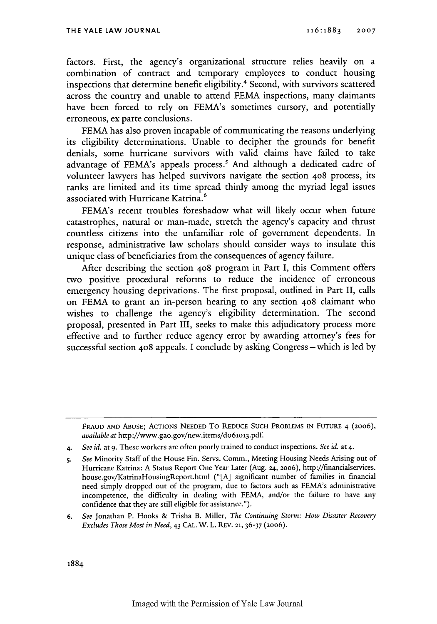factors. First, the agency's organizational structure relies heavily on a combination of contract and temporary employees to conduct housing inspections that determine benefit eligibility.<sup>4</sup> Second, with survivors scattered across the country and unable to attend FEMA inspections, many claimants have been forced to rely on FEMA's sometimes cursory, and potentially erroneous, ex parte conclusions.

FEMA has also proven incapable of communicating the reasons underlying its eligibility determinations. Unable to decipher the grounds for benefit denials, some hurricane survivors with valid claims have failed to take advantage of FEMA's appeals process.' And although a dedicated cadre of volunteer lawyers has helped survivors navigate the section 408 process, its ranks are limited and its time spread thinly among the myriad legal issues associated with Hurricane Katrina.<sup>6</sup>

FEMA's recent troubles foreshadow what will likely occur when future catastrophes, natural or man-made, stretch the agency's capacity and thrust countless citizens into the unfamiliar role of government dependents. In response, administrative law scholars should consider ways to insulate this unique class of beneficiaries from the consequences of agency failure.

After describing the section 4o8 program in Part I, this Comment offers two positive procedural reforms to reduce the incidence of erroneous emergency housing deprivations. The first proposal, outlined in Part II, calls on FEMA to grant an in-person hearing to any section 408 claimant who wishes to challenge the agency's eligibility determination. The second proposal, presented in Part III, seeks to make this adjudicatory process more effective and to further reduce agency error by awarding attorney's fees for successful section 408 appeals. I conclude by asking Congress-which is led by

**FRAUD AND ABUSE;** ACTIONS **NEEDED** To **REDUCE SUCH** PROBLEMS **IN** FUTURE 4 (2oo6), *available at* http://www.gao.gov/new.items/do6lo 13.pdf.

*<sup>4.</sup> See id.* at *9.* These workers are often poorly trained to conduct inspections. *See id.* at 4.

*s. See* Minority Staff of the House Fin. Servs. Comm., Meeting Housing Needs Arising out of Hurricane Katrina: A Status Report One Year Later (Aug. **24,** 20o6), http://financialservices. house.gov/KatrinaHousingReport.html ("[A] significant number of families in financial need simply dropped out of the program, due to factors such as FEMA's administrative incompetence, the difficulty in dealing with FEMA, and/or the failure to have any confidence that they are still eligible for assistance.").

**<sup>6.</sup>** *See* Jonathan P. Hooks & Trisha B. Miller, *The Continuing Storm: How Disaster Recovery Excludes Those Most in Need,* 43 CAL. W. L. REV. **21,** 36-37 (2006).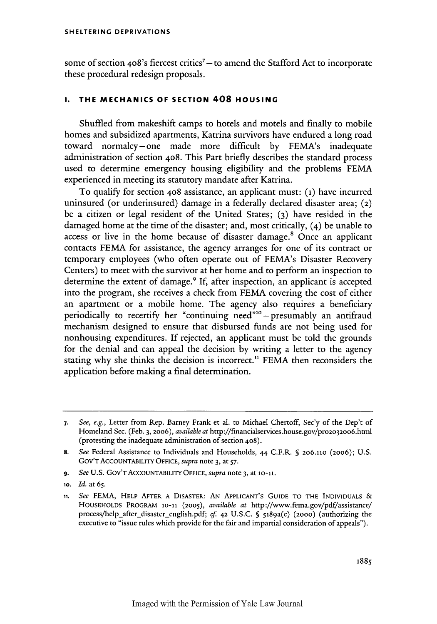some of section 408's fiercest critics<sup>7</sup> - to amend the Stafford Act to incorporate these procedural redesign proposals.

## **I. THE MECHANICS OF SECTION 408 HOUSING**

Shuffled from makeshift camps to hotels and motels and finally to mobile homes and subsidized apartments, Katrina survivors have endured a long road toward normalcy-one made more difficult by FEMA's inadequate administration of section 408. This Part briefly describes the standard process used to determine emergency housing eligibility and the problems FEMA experienced in meeting its statutory mandate after Katrina.

To qualify for section 4o8 assistance, an applicant must: **(i)** have incurred uninsured (or underinsured) damage in a federally declared disaster area; (2) be a citizen or legal resident of the United States; **(3)** have resided in the damaged home at the time of the disaster; and, most critically, (4) be unable to access or live in the home because of disaster damage.<sup>8</sup> Once an applicant contacts FEMA for assistance, the agency arranges for one of its contract or temporary employees (who often operate out of FEMA's Disaster Recovery Centers) to meet with the survivor at her home and to perform an inspection to determine the extent of damage.<sup>9</sup> If, after inspection, an applicant is accepted into the program, she receives a check from FEMA covering the cost of either an apartment or a mobile home. The agency also requires a beneficiary periodically to recertify her "continuing need"<sup>10</sup>-presumably an antifraud mechanism designed to ensure that disbursed funds are not being used for nonhousing expenditures. If rejected, an applicant must be told the grounds for the denial and can appeal the decision by writing a letter to the agency stating why she thinks the decision is incorrect." FEMA then reconsiders the application before making a final determination.

**9.** *See* **U.S.** GOV'T ACCOUNTABIITY **OFFICE,** *supra* note 3, at **lo-i** .

*<sup>7.</sup> See, e.g.,* Letter from Rep. Barney Frank et al. to Michael Chertoff, Sec'y of the Dep't of Homeland Sec. (Feb. 3, 20o6), *available at* http://financialservices.house.gov/pro2o32o6.html (protesting the inadequate administration of section 4o8).

**<sup>8.</sup>** *See* Federal Assistance to Individuals and Households, 44 C.F.R. **S** 2o6.11o (2006); U.S. GOV'T ACCOUNTABILITY **OFFICE,** *supra* note 3, at 57.

**<sup>1</sup>o.** *Id.* at **65.**

**<sup>11.</sup>** *See* FEMA, **HELP** AFTER **A DISASTER: AN** APPLICANT'S GUIDE TO **THE INDIVIDUALS &** HOUSEHOLDS PROGRAM **10-11 (2005),** *available at* http://www.fema.gov/pdf/assistance/ process/help-after disaster-english.pdf; cf. 42 U.S.C. **§** 5189a(c) **(2000)** (authorizing the executive to "issue rules which provide for the fair and impartial consideration of appeals").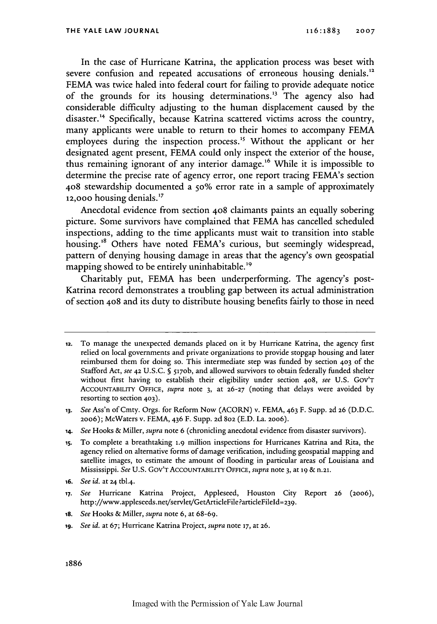In the case of Hurricane Katrina, the application process was beset with severe confusion and repeated accusations of erroneous housing denials.<sup>12</sup> FEMA was twice haled into federal court for failing to provide adequate notice of the grounds for its housing determinations.<sup>13</sup> The agency also had considerable difficulty adjusting to the human displacement caused by the disaster.<sup>14</sup> Specifically, because Katrina scattered victims across the country, many applicants were unable to return to their homes to accompany FEMA employees during the inspection process.<sup>15</sup> Without the applicant or her designated agent present, FEMA could only inspect the exterior of the house, thus remaining ignorant of any interior damage.<sup>16</sup> While it is impossible to determine the precise rate of agency error, one report tracing FEMA's section **408** stewardship documented a **50%** error rate in a sample of approximately 12,000 housing denials. $^{17}$ 

Anecdotal evidence from section 408 claimants paints an equally sobering picture. Some survivors have complained that FEMA has cancelled scheduled inspections, adding to the time applicants must wait to transition into stable housing.<sup>18</sup> Others have noted FEMA's curious, but seemingly widespread, pattern of denying housing damage in areas that the agency's own geospatial mapping showed to be entirely uninhabitable.<sup>19</sup>

Charitably put, FEMA has been underperforming. The agency's post-Katrina record demonstrates a troubling gap between its actual administration of section 4o8 and its duty to distribute housing benefits fairly to those in need

**<sup>12.</sup>** To manage the unexpected demands placed on it by Hurricane Katrina, the agency first relied on local governments and private organizations to provide stopgap housing and later reimbursed them for doing so. This intermediate step was funded by section **403** of the Stafford Act, see **42** U.S.C. **§** 517ob, and allowed survivors to obtain federally funded shelter without first having to establish their eligibility under section 408, *see* U.S. GOV'T AccouNTABaITY **OFFICE,** *supra* note 3, at **26-27** (noting that delays were avoided by resorting to section 403).

**<sup>13.</sup>** *See* Ass'n of Cmty. Orgs. for Reform Now (ACORN) v. FEMA, 463 F. Supp. **2d 26** (D.D.C. 2006); McWaters v. FEMA, 436 F. Supp. **2d 802** (E.D. La. 20o6).

**<sup>14.</sup>** *See* Hooks & Miller, *supra* note 6 (chronicling anecdotal evidence from disaster survivors).

**<sup>15.</sup>** To complete a breathtaking **1.9** million inspections for Hurricanes Katrina and Rita, the agency relied on alternative forms of damage verification, including geospatial mapping and satellite images, to estimate the amount of flooding in particular areas of Louisiana and Mississippi. *See* U.S. GOV'T ACCOUNTABILITY OFFICE, *supra* note 3, at **19 & n.21.**

**<sup>16.</sup>** *See id.* at **24** tbl.4.

**<sup>17.</sup>** *See* Hurricane Katrina Project, Appleseed, Houston City Report **26** (20o6), http://www.appleseeds.net/servlet/GetArticleFile?articleFileld=239.

<sup>18.</sup> *See* Hooks & Miller, *supra* note 6, at 68-69.

**ig.** *See id.* at 67; Hurricane Katrina Project, *supra* note **17,** at **26.**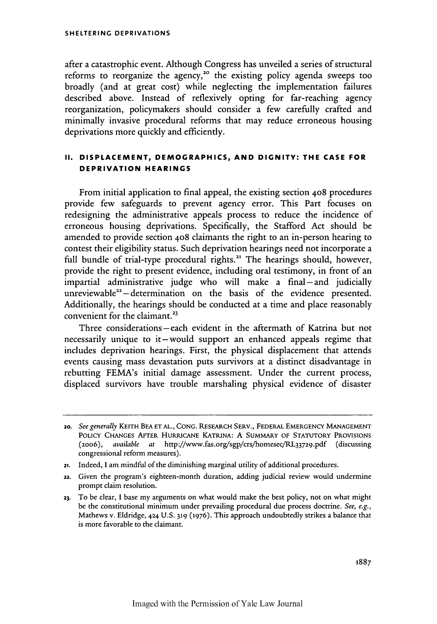**SHELTERING DEPRIVATIONS**

after a catastrophic event. Although Congress has unveiled a series of structural reforms to reorganize the agency,<sup>20</sup> the existing policy agenda sweeps too broadly (and at great cost) while neglecting the implementation failures described above. Instead of reflexively opting for far-reaching agency reorganization, policymakers should consider a few carefully crafted and minimally invasive procedural reforms that may reduce erroneous housing deprivations more quickly and efficiently.

## **II. DISPLACEMENT, DEMOGRAPHICS, AND DIGNITY: THE CASE FOR DEPRIVATION HEARINGS**

From initial application to final appeal, the existing section 408 procedures provide few safeguards to prevent agency error. This Part focuses on redesigning the administrative appeals process to reduce the incidence of erroneous housing deprivations. Specifically, the Stafford Act should be amended to provide section **408** claimants the right to an in-person hearing to contest their eligibility status. Such deprivation hearings need not incorporate a full bundle of trial-type procedural rights.<sup>21</sup> The hearings should, however, provide the right to present evidence, including oral testimony, in front of an impartial administrative judge who will make a final-and judicially unreviewable<sup>22</sup> $-$  determination on the basis of the evidence presented. Additionally, the hearings should be conducted at a time and place reasonably convenient for the claimant.<sup>23</sup>

Three considerations-each evident in the aftermath of Katrina but not necessarily unique to it-would support an enhanced appeals regime that includes deprivation hearings. First, the physical displacement that attends events causing mass devastation puts survivors at a distinct disadvantage in rebutting FEMA's initial damage assessment. Under the current process, displaced survivors have trouble marshaling physical evidence of disaster

22. Given the program's eighteen-month duration, adding judicial review would undermine prompt claim resolution.

**<sup>2</sup>o.** *See generally* **KEITH BEA ET AL., CONG.** RESEARCH SERV., FEDERAL EMERGENCY MANAGEMENT POLICY CHANGES AFTER HURRICANE KATRINA: **A** SUMMARY OF STATUTORY PROVISIONS (2oo6), *available at* http://www.fas.org/sgp/crs/homesec/RL33729.pdf (discussing congressional reform measures).

**<sup>21.</sup>** Indeed, I am mindful of the diminishing marginal utility of additional procedures.

**<sup>23.</sup>** To be clear, I base my arguments on what would make the best policy, not on what might be the constitutional minimum under prevailing procedural due process doctrine. *See, e.g.,* Mathews v. Eldridge, 424 U.S. **319 (1976).** This approach undoubtedly strikes a balance that is more favorable to the claimant.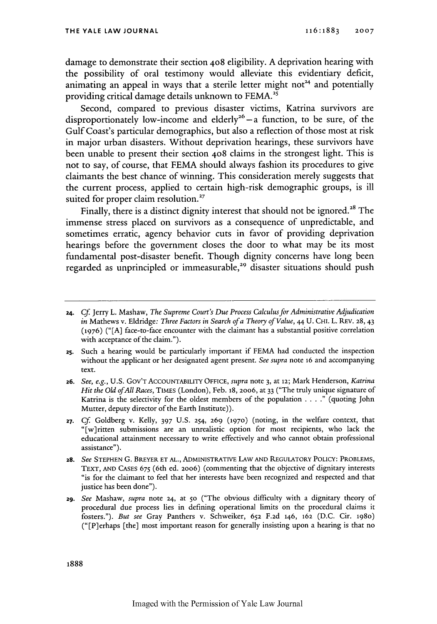damage to demonstrate their section **408** eligibility. A deprivation hearing with the possibility of oral testimony would alleviate this evidentiary deficit, animating an appeal in ways that a sterile letter might not<sup>24</sup> and potentially providing critical damage details unknown to **FEMA.2 <sup>s</sup>**

Second, compared to previous disaster victims, Katrina survivors are disproportionately low-income and elderly<sup>26</sup>  $-$  a function, to be sure, of the Gulf Coast's particular demographics, but also a reflection of those most at risk in major urban disasters. Without deprivation hearings, these survivors have been unable to present their section 408 claims in the strongest light. This is not to say, of course, that FEMA should always fashion its procedures to give claimants the best chance of winning. This consideration merely suggests that the current process, applied to certain high-risk demographic groups, is ill suited for proper claim resolution.<sup>27</sup>

Finally, there is a distinct dignity interest that should not be ignored.<sup>28</sup> The immense stress placed on survivors as a consequence of unpredictable, and sometimes erratic, agency behavior cuts in favor of providing deprivation hearings before the government closes the door to what may be its most fundamental post-disaster benefit. Though dignity concerns have long been regarded as unprincipled or immeasurable,<sup>29</sup> disaster situations should push

**<sup>24.</sup>** *Cf* Jerry L. Mashaw, *The Supreme Court's Due Process Calculusfor Administrative Adjudication in* Mathews v. Eldridge: *Three Factors in Search of a Theory of Value,* 44 U. CHI. L. REV. 28, 43 **(1976)** ("[A] face-to-face encounter with the claimant has a substantial positive correlation with acceptance of the claim.").

**<sup>25.</sup>** Such a hearing would be particularly important if FEMA had conducted the inspection without the applicant or her designated agent present. *See supra* note **16** and accompanying text.

**<sup>26.</sup>** *See, e.g.,* U.S. GOV'T ACCOUNTABILITY **OFFICE,** *supra* note 3, at **12;** Mark Henderson, *Katrina Hit the Old ofAll Races,* **TIMES** (London), Feb. **18, 2006,** at 33 ("The truly unique signature of Katrina is the selectivity for the oldest members of the population  $\dots$ ." (quoting John Mutter, deputy director of the Earth Institute)).

**<sup>27.</sup> Cf.** Goldberg v. Kelly, 397 U.S. 254, **269 (1970)** (noting, in the welfare context, that "[w]ritten submissions are an unrealistic option for most recipients, who lack the educational attainment necessary to write effectively and who cannot obtain professional assistance").

<sup>28.</sup> *See* **STEPHEN** G. BREYER **ET AL.,** ADMINISTRATIVE LAW **AND** REGULATORY POLICY: PROBLEMS, TEXT, **AND** CASES **675** (6th ed. 2006) (commenting that the objective of dignitary interests "is for the claimant to feel that her interests have been recognized and respected and that justice has been done").

**<sup>2</sup>g.** *See* Mashaw, *supra* note 24, at So ("The obvious difficulty with a dignitary theory of procedural due process lies in defining operational limits on the procedural claims it fosters."). *But see* Gray Panthers v. Schweiker, **652** F.2d 146, **162** (D.C. Cir. 198o) ("[Plerhaps [the] most important reason for generally insisting upon a hearing is that no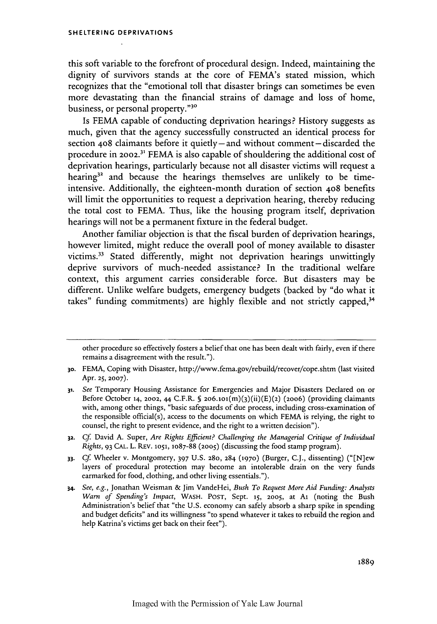#### **SHELTERING DEPRIVATIONS**

this soft variable to the forefront of procedural design. Indeed, maintaining the dignity of survivors stands at the core of FEMA's stated mission, which recognizes that the "emotional toll that disaster brings can sometimes be even more devastating than the financial strains of damage and loss of home, business, or personal property."30

Is FEMA capable of conducting deprivation hearings? History suggests as much, given that the agency successfully constructed an identical process for section **408** claimants before it quietly **-** and without comment **-** discarded the procedure in 2002.<sup>31</sup> FEMA is also capable of shouldering the additional cost of deprivation hearings, particularly because not all disaster victims will request a hearing $3^2$  and because the hearings themselves are unlikely to be timeintensive. Additionally, the eighteen-month duration of section 408 benefits will limit the opportunities to request a deprivation hearing, thereby reducing the total cost to FEMA. Thus, like the housing program itself, deprivation hearings will not be a permanent fixture in the federal budget.

Another familiar objection is that the fiscal burden of deprivation hearings, however limited, might reduce the overall pool of money available to disaster victims.33 Stated differently, might not deprivation hearings unwittingly deprive survivors of much-needed assistance? In the traditional welfare context, this argument carries considerable force. But disasters may be different. Unlike welfare budgets, emergency budgets (backed by "do what it takes" funding commitments) are highly flexible and not strictly capped,<sup>34</sup>

other procedure so effectively fosters a belief that one has been dealt with fairly, even if there remains a disagreement with the result.").

<sup>3</sup>o. FEMA, Coping with Disaster, http://www.fema.gov/rebuild/recover/cope.shtm (last visited Apr. **25, 2007).**

*<sup>31.</sup> See* Temporary Housing Assistance for Emergencies and Major Disasters Declared on or Before October 14, 2002, 44 C.F.R. **§** 2o6.1o1(m)(3)(ii)(E)(2) (20o6) (providing claimants with, among other things, "basic safeguards of due process, including cross-examination of the responsible official(s), access to the documents on which FEMA is relying, the right to counsel, the right to present evidence, and the right to a written decision").

**<sup>32.</sup>** *Cf.* David A. Super, *Are Rights Efficient? Challenging the Managerial Critique* of *Individual Rights,* 93 CAL. L. REV. **1051,** 1087-88 **(2005)** (discussing the food stamp program).

*<sup>33.</sup> Cf.* Wheeler v. Montgomery, 397 U.S. **280, 284 (1970)** (Burger, C.J., dissenting) ("[N]ew layers of procedural protection may become an intolerable drain on the very funds earmarked for food, clothing, and other living essentials.").

*<sup>34.</sup> See, e.g.,* Jonathan Weisman & Jim VandeHei, *Bush To Request More Aid Funding: Analysts Warn of Spending's Impact,* WASH. **POST,** Sept. **15,** 20o5, at Ai (noting the Bush Administration's belief that "the U.S. economy can safely absorb a sharp spike in spending and budget deficits" and its willingness "to spend whatever it takes to rebuild the region and help Katrina's victims get back on their feet").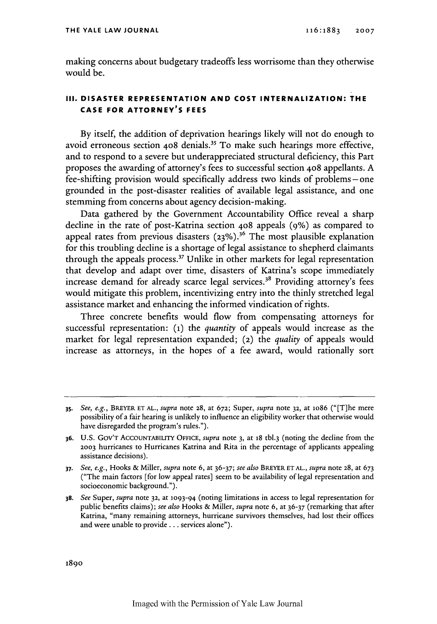making concerns about budgetary tradeoffs less worrisome than they otherwise would be.

## **III. DISASTER REPRESENTATION AND COST INTERNALIZATION: THE CASE FOR ATTORNEY'S FEES**

By itself, the addition of deprivation hearings likely will not do enough to avoid erroneous section 408 denials.<sup>35</sup> To make such hearings more effective and to respond to a severe but underappreciated structural deficiency, this Part proposes the awarding of attorney's fees to successful section 4o8 appellants. A fee-shifting provision would specifically address two kinds of problems -one grounded in the post-disaster realities of available legal assistance, and one stemming from concerns about agency decision-making.

Data gathered by the Government Accountability Office reveal a sharp decline in the rate of post-Katrina section 4o8 appeals (9%) as compared to appeal rates from previous disasters **(23%).36** The most plausible explanation for this troubling decline is a shortage of legal assistance to shepherd claimants through the appeals process.<sup>37</sup> Unlike in other markets for legal representation that develop and adapt over time, disasters of Katrina's scope immediately increase demand for already scarce legal services.<sup>38</sup> Providing attorney's fees would mitigate this problem, incentivizing entry into the thinly stretched legal assistance market and enhancing the informed vindication of rights.

Three concrete benefits would flow from compensating attorneys for successful representation: **(1)** the *quantity* of appeals would increase as the market for legal representation expanded; (2) the *quality* of appeals would increase as attorneys, in the hopes of a fee award, would rationally sort

**<sup>35.</sup>** *See, e.g.,* BREYER **ET** AL., *supra* note 28, at 672; Super, *supra* note **32,** at io86 ("[T]he mere possibility of a fair hearing is unlikely to influence an eligibility worker that otherwise would have disregarded the program's rules.").

<sup>36.</sup> U.S. GOV'T AccouNTABuITY OFFICE, *supra* note 3, at **18** tbl.3 (noting the decline from the **2003** hurricanes to Hurricanes Katrina and Rita in the percentage of applicants appealing assistance decisions).

**<sup>37.</sup>** *See, e.g.,* Hooks & Miller, *supra* note 6, at 36-37; *see also* BREYER **ETAL.,** *supra* note **28,** at 673 ("The main factors [for low appeal rates] seem to be availability of legal representation and socioeconomic background.").

**<sup>38.</sup>** *See* Super, *supra* note **32,** at 1093-94 (noting limitations in access to legal representation for public benefits claims); *see also* Hooks & Miller, *supra* note 6, at 36-37 (remarking that after Katrina, "many remaining attorneys, hurricane survivors themselves, had lost their offices and were unable to provide... services alone").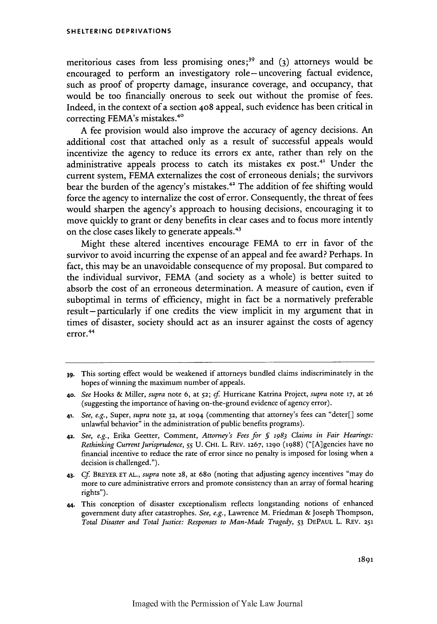#### **SHELTERING DEPRIVATIONS**

meritorious cases from less promising ones;<sup>39</sup> and (3) attorneys would be encouraged to perform an investigatory role-uncovering factual evidence, such as proof of property damage, insurance coverage, and occupancy, that would be too financially onerous to seek out without the promise of fees. Indeed, in the context of a section **408** appeal, such evidence has been critical in correcting FEMA's mistakes.<sup>40</sup>

A fee provision would also improve the accuracy of agency decisions. An additional cost that attached only as a result of successful appeals would incentivize the agency to reduce its errors ex ante, rather than rely on the administrative appeals process to catch its mistakes ex post.<sup>41</sup> Under the current system, FEMA externalizes the cost of erroneous denials; the survivors bear the burden of the agency's mistakes. 42 The addition of fee shifting would force the agency to internalize the cost of error. Consequently, the threat of fees would sharpen the agency's approach to housing decisions, encouraging it to move quickly to grant or deny benefits in clear cases and to focus more intently on the close cases likely to generate appeals. <sup>43</sup>

Might these altered incentives encourage FEMA to err in favor of the survivor to avoid incurring the expense of an appeal and fee award? Perhaps. In fact, this may be an unavoidable consequence of my proposal. But compared to the individual survivor, FEMA (and society as a whole) is better suited to absorb the cost of an erroneous determination. A measure of caution, even if suboptimal in terms of efficiency, might in fact be a normatively preferable result – particularly if one credits the view implicit in my argument that in times of disaster, society should act as an insurer against the costs of agency error.<sup>44</sup>

**<sup>39.</sup>** This sorting effect would be weakened if attorneys bundled claims indiscriminately in the hopes of winning the maximum number of appeals.

**<sup>40.</sup>** *See* Hooks & Miller, *supra* note 6, at **52;** *cf.* Hurricane Katrina Project, *supra* note **17,** at 26 (suggesting the importance of having on-the-ground evidence of agency error).

<sup>41.</sup> *See, e.g.,* Super, *supra* note **32,** at **1094** (commenting that attorney's fees can "deter[] some unlawful behavior" in the administration of public benefits programs).

**<sup>42.</sup>** *See, e.g.,* Erika Geetter, Comment, *Attorney's Fees for 5* 1983 *Claims in Fair Hearings: Rethinking Current Jurisprudence, 55* U. CHI. L. REv. 1267, 1290 (1988) ("[A]gencies have no financial incentive to reduce the rate of error since no penalty is imposed for losing when a decision is challenged.").

<sup>43.</sup> *Cf* **BREYER ET AL.,** *supra* note 28, at 68o (noting that adjusting agency incentives "may do more to cure administrative errors and promote consistency than an array of formal hearing rights").

<sup>44.</sup> This conception of disaster exceptionalism reflects longstanding notions of enhanced government duty after catastrophes. *See, e.g.,* Lawrence M. Friedman & Joseph Thompson, *Total Disaster and Total Justice: Responses to Man-Made Tragedy, 53* DEPAUL L. REV. **<sup>251</sup>**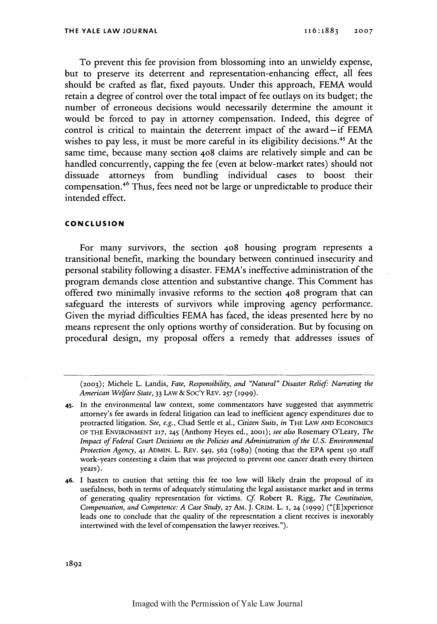To prevent this fee provision from blossoming into an unwieldy expense, but to preserve its deterrent and representation-enhancing effect, all fees should be crafted as flat, fixed payouts. Under this approach, FEMA would retain a degree of control over the total impact of fee outlays on its budget; the number of erroneous decisions would necessarily determine the amount it would be forced to pay in attorney compensation. Indeed, this degree of control is critical to maintain the deterrent impact of the award-if FEMA wishes to pay less, it must be more careful in its eligibility decisions.<sup>45</sup> At the same time, because many section **408** claims are relatively simple and can be handled concurrently, capping the fee (even at below-market rates) should not dissuade attorneys from bundling individual cases to boost their compensation *.46* Thus, fees need not be large or unpredictable to produce their intended effect.

### **CONCLUSION**

For many survivors, the section 408 housing program represents a transitional benefit, marking the boundary between continued insecurity and personal stability following a disaster. FEMA's ineffective administration of the program demands close attention and substantive change. This Comment has offered two minimally invasive reforms to the section 408 program that can safeguard the interests of survivors while improving agency performance. Given the myriad difficulties FEMA has faced, the ideas presented here by no means represent the only options worthy of consideration. But by focusing on procedural design, my proposal offers a remedy that addresses issues of

**<sup>(2003);</sup>** Michele L. Landis, *Fate, Responsibility, and "Natural" Disaster Relief. Narrating the American Welfare State,* 33 LAw **&** Soc'Y REV. **257 (1999).**

<sup>45.</sup> In the environmental law context, some commentators have suggested that asymmetric attorney's fee awards in federal litigation can lead to inefficient agency expenditures due to protracted litigation. *See, e.g.,* Chad Settle et al., *Citizen Suits, in* THE LAW **AND ECONOMICS** OF THE ENVIRONMENT **217,** 245 (Anthony Heyes ed., **2001);** *see also* Rosemary O'Leary, *The Impact of Federal Court Decisions on the Policies and Administration of the U.S. Environmental Protection Agency,* 41 ADMIN. L. REV. 549, **562** (1989) (noting that the EPA spent **150** staff work-years contesting a claim that was projected to prevent one cancer death every thirteen years).

**<sup>46.</sup> I** hasten to caution that setting this fee too low will likely drain the proposal of its usefulness, both in terms of adequately stimulating the legal assistance market and in terms of generating quality representation for victims. *Cf* Robert **R** Rigg, *The Constitution, Compensation, and Competence: A Case Study,* **27 AM. J.** CRIM. L. **1,** 24 **(1999)** ("[E]xperience leads one to conclude that the quality of the representation a client receives is inexorably intertwined with the level of compensation the lawyer receives.").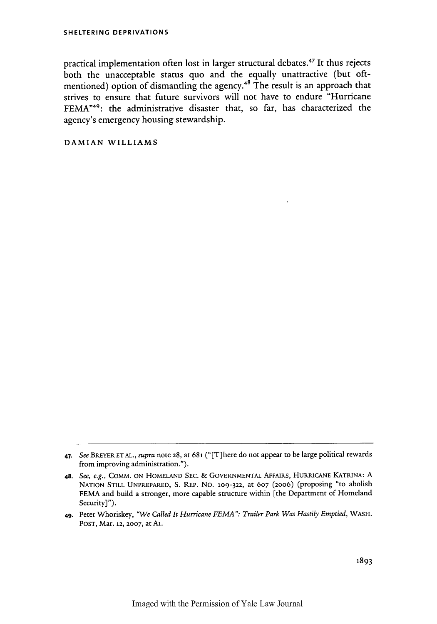practical implementation often lost in larger structural debates. 47 It thus rejects both the unacceptable status quo and the equally unattractive (but oftmentioned) option of dismantling the agency.<sup>48</sup> The result is an approach that strives to ensure that future survivors will not have to endure "Hurricane FEMA<sup>"49</sup>: the administrative disaster that, so far, has characterized the agency's emergency housing stewardship.

DAMIAN WILLIAMS

*<sup>47.</sup> See* BREYER **ET** AL., *supra* note 28, at **681 ("** [T] here do not appear to be large political rewards from improving administration.").

**<sup>48.</sup>** *See, e.g.,* COMM. ON HOMELAND SEC. & GOVERNMENTAL AFFAIRS, HURRICANE KATRINA: A NATION STILL UNPREPARED, S. REP. No. **109-322,** at **607** (2006) (proposing "to abolish FEMA and build a stronger, more capable structure within [the Department of Homeland Security]").

<sup>49-</sup> Peter Whoriskey, *"We Called It Hurricane FEMA": Trailer Park Was Hastily Emptied,* WASH. POST, Mar. 12, **2007,** at At.